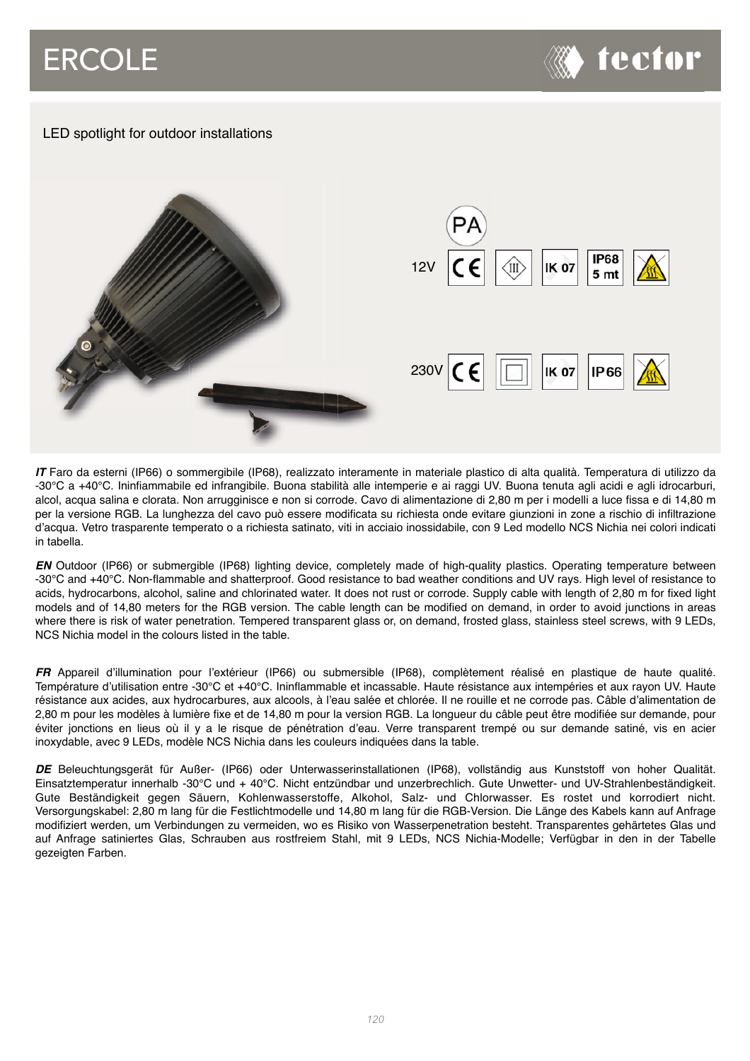## ERCOLE



## LED spotlight for outdoor installations



*IT* Faro da esterni (IP66) o sommergibile (IP68), realizzato interamente in materiale plastico di alta qualità. Temperatura di utilizzo da -30°C a +40°C. Ininfiammabile ed infrangibile. Buona stabilità alle intemperie e ai raggi UV. Buona tenuta agli acidi e agli idrocarburi, alcol, acqua salina e clorata. Non arrugginisce e non si corrode. Cavo di alimentazione di 2,80 m per i modelli a luce fissa e di 14,80 m per la versione RGB. La lunghezza del cavo può essere modificata su richiesta onde evitare giunzioni in zone a rischio di infiltrazione d'acqua. Vetro trasparente temperato o a richiesta satinato, viti in acciaio inossidabile, con 9 Led modello NCS Nichia nei colori indicati in tabella.

*EN* Outdoor (IP66) or submergible (IP68) lighting device, completely made of high-quality plastics. Operating temperature between -30°C and +40°C. Non-flammable and shatterproof. Good resistance to bad weather conditions and UV rays. High level of resistance to acids, hydrocarbons, alcohol, saline and chlorinated water. It does not rust or corrode. Supply cable with length of 2,80 m for fixed light models and of 14,80 meters for the RGB version. The cable length can be modified on demand, in order to avoid junctions in areas where there is risk of water penetration. Tempered transparent glass or, on demand, frosted glass, stainless steel screws, with 9 LEDs, NCS Nichia model in the colours listed in the table.

*FR* Appareil d'illumination pour l'extérieur (IP66) ou submersible (IP68), complètement réalisé en plastique de haute qualité. Température d'utilisation entre -30°C et +40°C. Ininflammable et incassable. Haute résistance aux intempéries et aux rayon UV. Haute résistance aux acides, aux hydrocarbures, aux alcools, à l'eau salée et chlorée. Il ne rouille et ne corrode pas. Câble d'alimentation de 2,80 m pour les modèles à lumière fixe et de 14,80 m pour la version RGB. La longueur du câble peut être modifiée sur demande, pour éviter jonctions en lieus où il y a le risque de pénétration d'eau. Verre transparent trempé ou sur demande satiné, vis en acier inoxydable, avec 9 LEDs, modèle NCS Nichia dans les couleurs indiquées dans la table.

*DE* Beleuchtungsgerät für Außer- (IP66) oder Unterwasserinstallationen (IP68), vollständig aus Kunststoff von hoher Qualität. Einsatztemperatur innerhalb -30°C und + 40°C. Nicht entzündbar und unzerbrechlich. Gute Unwetter- und UV-Strahlenbeständigkeit. Gute Beständigkeit gegen Säuern, Kohlenwasserstoffe, Alkohol, Salz- und Chlorwasser. Es rostet und korrodiert nicht. Versorgungskabel: 2,80 m lang für die Festlichtmodelle und 14,80 m lang für die RGB-Version. Die Länge des Kabels kann auf Anfrage modifiziert werden, um Verbindungen zu vermeiden, wo es Risiko von Wasserpenetration besteht. Transparentes gehärtetes Glas und auf Anfrage satiniertes Glas, Schrauben aus rostfreiem Stahl, mit 9 LEDs, NCS Nichia-Modelle; Verfügbar in den in der Tabelle gezeigten Farben.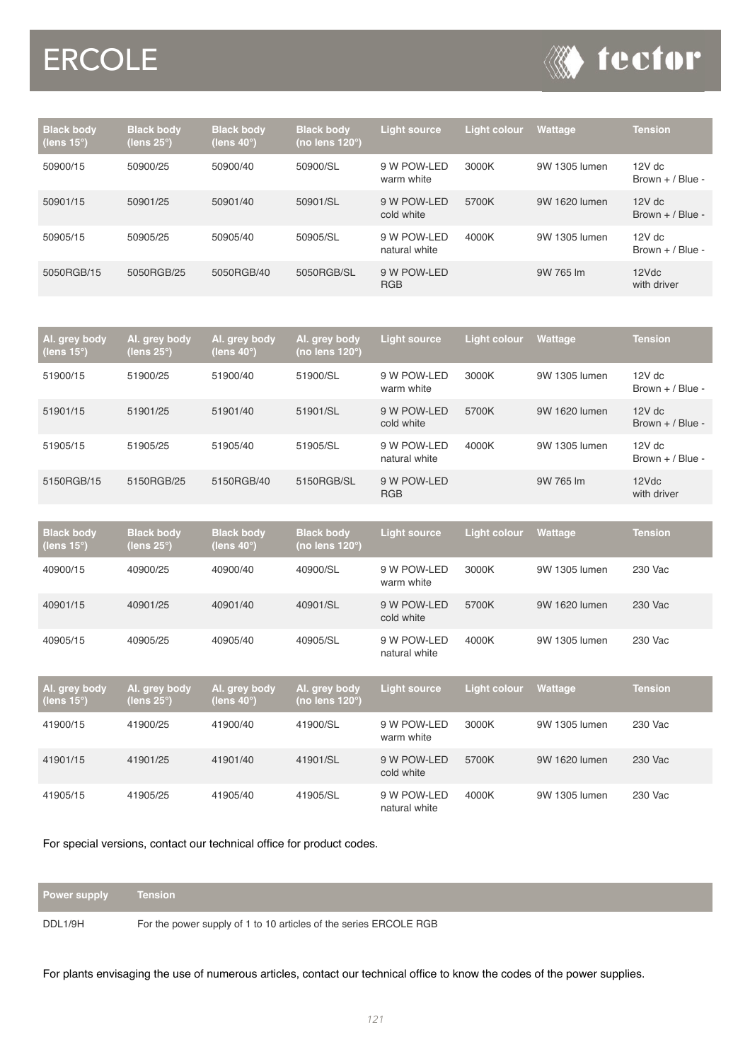## **ERCOLE**



| <b>Black body</b><br>(lens 15°)' | <b>Black body</b><br>(lens $25^\circ$ ) | <b>Black body</b><br>(lens $40^\circ$ ) | <b>Black body</b><br>(no lens $120^\circ$ ) | <b>Light source</b>          | <b>Light colour</b> | <b>Wattage</b> | <b>Tension</b>                 |
|----------------------------------|-----------------------------------------|-----------------------------------------|---------------------------------------------|------------------------------|---------------------|----------------|--------------------------------|
| 50900/15                         | 50900/25                                | 50900/40                                | 50900/SL                                    | 9 W POW-LED<br>warm white    | 3000K               | 9W 1305 lumen  | $12V$ dc<br>Brown $+$ / Blue - |
| 50901/15                         | 50901/25                                | 50901/40                                | 50901/SL                                    | 9 W POW-LED<br>cold white    | 5700K               | 9W 1620 lumen  | $12V$ dc<br>Brown $+$ / Blue - |
| 50905/15                         | 50905/25                                | 50905/40                                | 50905/SL                                    | 9 W POW-LED<br>natural white | 4000K               | 9W 1305 lumen  | $12V$ dc<br>Brown $+$ / Blue - |
| 5050RGB/15                       | 5050RGB/25                              | 5050RGB/40                              | 5050RGB/SL                                  | 9 W POW-LED<br><b>RGB</b>    |                     | 9W 765 lm      | 12Vdc<br>with driver           |

| Al. grey body<br>(lens $15^\circ$ ) | Al. grey body<br>(lens 25°) | Al. grey body<br>(lens 40°) | Al. grey body<br>(no lens 120°) | <b>Light source</b>          | <b>Light colour</b> | <b>Wattage</b> | <b>Tension</b>                 |
|-------------------------------------|-----------------------------|-----------------------------|---------------------------------|------------------------------|---------------------|----------------|--------------------------------|
| 51900/15                            | 51900/25                    | 51900/40                    | 51900/SL                        | 9 W POW-LED<br>warm white    | 3000K               | 9W 1305 lumen  | $12V$ dc<br>Brown $+$ / Blue - |
| 51901/15                            | 51901/25                    | 51901/40                    | 51901/SL                        | 9 W POW-LED<br>cold white    | 5700K               | 9W 1620 lumen  | $12V$ dc<br>Brown $+$ / Blue - |
| 51905/15                            | 51905/25                    | 51905/40                    | 51905/SL                        | 9 W POW-LED<br>natural white | 4000K               | 9W 1305 lumen  | $12V$ dc<br>Brown $+$ / Blue - |
| 5150RGB/15                          | 5150RGB/25                  | 5150RGB/40                  | 5150RGB/SL                      | 9 W POW-LED<br><b>RGB</b>    |                     | 9W 765 lm      | 12Vdc<br>with driver           |

| <b>Black body</b><br>(lens 15°) | <b>Black body</b><br>(lens 25°)       | <b>Black body</b><br>(lens 40 $^{\circ}$ ) | <b>Black body</b><br>(no lens 120°) | <b>Light source</b>          | <b>Light colour</b> | Wattage        | <b>Tension</b> |
|---------------------------------|---------------------------------------|--------------------------------------------|-------------------------------------|------------------------------|---------------------|----------------|----------------|
| 40900/15                        | 40900/25                              | 40900/40                                   | 40900/SL                            | 9 W POW-LED<br>warm white    | 3000K               | 9W 1305 lumen  | 230 Vac        |
| 40901/15                        | 40901/25                              | 40901/40                                   | 40901/SL                            | 9 W POW-LED<br>cold white    | 5700K               | 9W 1620 lumen  | 230 Vac        |
| 40905/15                        | 40905/25                              | 40905/40                                   | 40905/SL                            | 9 W POW-LED<br>natural white | 4000K               | 9W 1305 lumen  | 230 Vac        |
| Al. grey body<br>(lens 15°)     | Al. grey body<br>(lens $25^{\circ}$ ) | Al. grey body<br>(lens 40 $^{\circ}$ )     | Al. grey body<br>(no lens 120°)     | <b>Light source</b>          | <b>Light colour</b> | <b>Wattage</b> | <b>Tension</b> |
| 41900/15                        | 41900/25                              | 41900/40                                   | 41900/SL                            | 9 W POW-LED<br>warm white    | 3000K               | 9W 1305 lumen  | 230 Vac        |
| 41901/15                        | 41901/25                              | 41901/40                                   | 41901/SL                            | 9 W POW-LED<br>cold white    | 5700K               | 9W 1620 lumen  | 230 Vac        |
| 41905/15                        | 41905/25                              | 41905/40                                   | 41905/SL                            | 9 W POW-LED<br>natural white | 4000K               | 9W 1305 lumen  | 230 Vac        |

For special versions, contact our technical office for product codes.

| <b>Power supply</b> | Tension                                                           |
|---------------------|-------------------------------------------------------------------|
| DDL1/9H             | For the power supply of 1 to 10 articles of the series ERCOLE RGB |

For plants envisaging the use of numerous articles, contact our technical office to know the codes of the power supplies.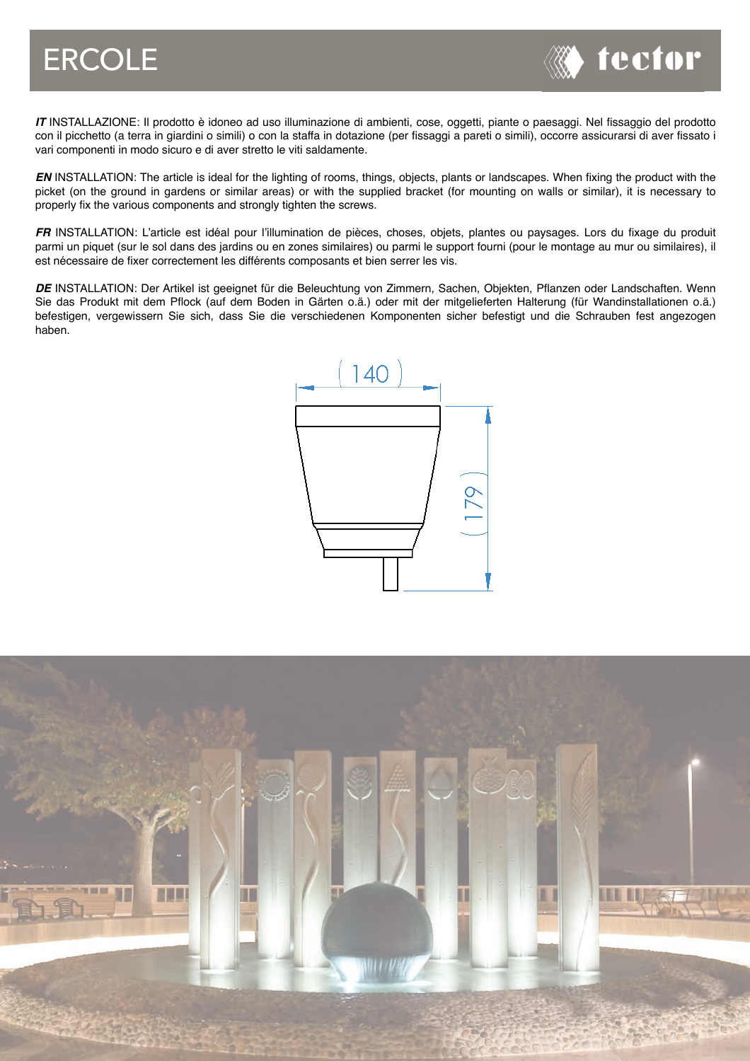

*IT* INSTALLAZIONE: Il prodotto è idoneo ad uso illuminazione di ambienti, cose, oggetti, piante o paesaggi. Nel fissaggio del prodotto con il picchetto (a terra in giardini o simili) o con la staffa in dotazione (per fissaggi a pareti o simili), occorre assicurarsi di aver fissato i vari componenti in modo sicuro e di aver stretto le viti saldamente.

*EN* INSTALLATION: The article is ideal for the lighting of rooms, things, objects, plants or landscapes. When fixing the product with the picket (on the ground in gardens or similar areas) or with the supplied bracket (for mounting on walls or similar), it is necessary to properly fix the various components and strongly tighten the screws.

*FR* INSTALLATION: L'article est idéal pour l'illumination de pièces, choses, objets, plantes ou paysages. Lors du fixage du produit parmi un piquet (sur le sol dans des jardins ou en zones similaires) ou parmi le support fourni (pour le montage au mur ou similaires), il est nécessaire de fixer correctement les différents composants et bien serrer les vis.

DE INSTALLATION: Der Artikel ist geeignet für die Beleuchtung von Zimmern, Sachen, Objekten, Pflanzen oder Landschaften. Wenn Sie das Produkt mit dem Pflock (auf dem Boden in Gärten o.ä.) oder mit der mitgelieferten Halterung (für Wandinstallationen o.ä.) befestigen, vergewissern Sie sich, dass Sie die verschiedenen Komponenten sicher befestigt und die Schrauben fest angezogen haben.